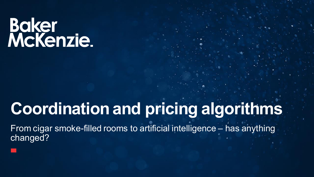# Baker<br>McKenzie.

### **Coordination and pricing algorithms**

From cigar smoke-filled rooms to artificial intelligence – has anything changed?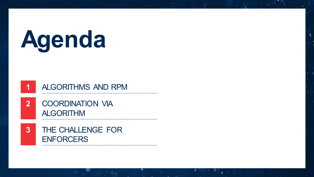## **Agenda**

#### **1** ALGORITHMS AND RPM

- **2** COORDINATION VIA ALGORITHM
- **3** THE CHALLENGE FOR **ENFORCERS**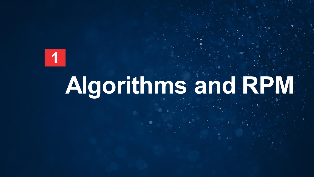

## **Algorithms and RPM**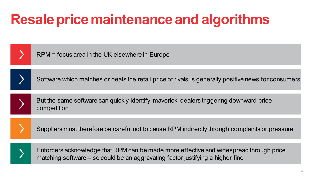### **Resale price maintenance and algorithms**

| RPM = focus area in the UK elsewhere in Europe                                                         |
|--------------------------------------------------------------------------------------------------------|
| Software which matches or beats the retail price of rivals is generally positive news for consumers    |
| But the same software can quickly identify 'maverick' dealers triggering downward price<br>competition |
| Suppliers must therefore be careful not to cause RPM indirectly through complaints or pressure         |
|                                                                                                        |

Enforcers acknowledge that RPM can be made more effective and widespread through price matching software – so could be an aggravating factor justifying a higher fine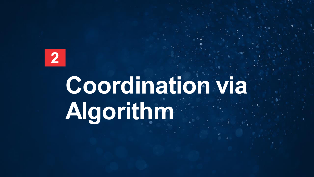**2** 

## **Coordination via Algorithm**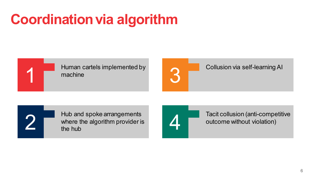### **Coordination via algorithm**





Collusion via self-learning AI

Hub and spoke arrangements where the algorithm provider is the hub

Tacit collusion (anti-competitive outcome without violation) 4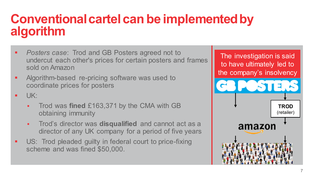#### **Conventional cartel can be implemented by algorithm**

- *Posters case*: Trod and GB Posters agreed not to undercut each other's prices for certain posters and frames sold on Amazon
- Algorithm-based re-pricing software was used to coordinate prices for posters
- $\blacksquare$  UK:
	- Trod was **fined** £163,371 by the CMA with GB obtaining immunity
	- Trod's director was **disqualified** and cannot act as a director of any UK company for a period of five years
- US: Trod pleaded guilty in federal court to price-fixing scheme and was fined \$50,000.

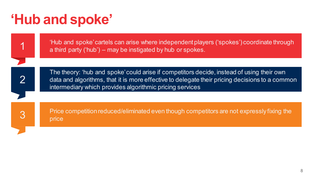#### **'Hub and spoke'**

1 'Hub and spoke' cartels can arise where independent players ('spokes') coordinate through a third party ('hub') – may be instigated by hub or spokes.

2

The theory: 'hub and spoke' could arise if competitors decide, instead of using their own data and algorithms, that it is more effective to delegate their pricing decisions to a common intermediary which provides algorithmic pricing services

3 Price competition reduced/eliminated even though competitors are not expressly fixing the<br>
3 Price competition reduced/eliminated even though competitors are not expressly fixing the price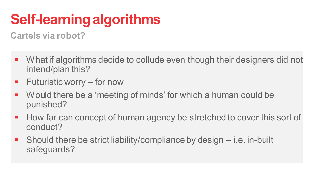### **Self-learning algorithms**

**Cartels via robot?** 

- **•** What if algorithms decide to collude even though their designers did not intend/plan this?
- **Futuristic worry for now**
- Would there be a 'meeting of minds' for which a human could be punished?
- How far can concept of human agency be stretched to cover this sort of conduct?
- Should there be strict liability/compliance by design i.e. in-built safeguards?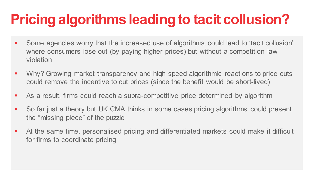### **Pricing algorithms leading to tacit collusion?**

- Some agencies worry that the increased use of algorithms could lead to 'tacit collusion' where consumers lose out (by paying higher prices) but without a competition law violation
- Why? Growing market transparency and high speed algorithmic reactions to price cuts could remove the incentive to cut prices (since the benefit would be short-lived)
- As a result, firms could reach a supra-competitive price determined by algorithm
- So far just a theory but UK CMA thinks in some cases pricing algorithms could present the "missing piece" of the puzzle
- At the same time, personalised pricing and differentiated markets could make it difficult for firms to coordinate pricing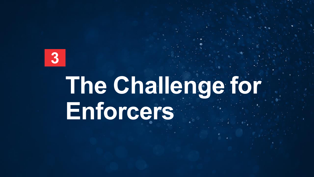

### **The Challenge for Enforcers**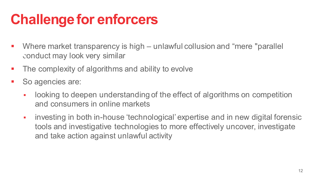#### **Challenge for enforcers**

- Where market transparency is high unlawful collusion and "mere "parallel conduct may look very similar
- The complexity of algorithms and ability to evolve
- So agencies are:
	- looking to deepen understanding of the effect of algorithms on competition and consumers in online markets
	- investing in both in-house 'technological' expertise and in new digital forensic tools and investigative technologies to more effectively uncover, investigate and take action against unlawful activity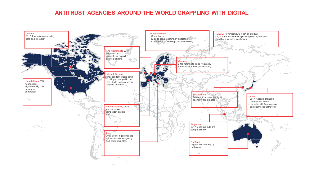#### **ANTITRUST AGENCIES AROUND THE WORLD GRAPPLING WITH DIGITAL**

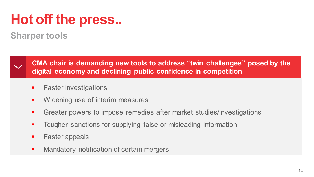### **Hot off the press..**

#### **Sharper tools**



**CMA chair is demanding new tools to address "twin challenges" posed by the digital economy and declining public confidence in competition** 

- **Faster investigations**
- **Widening use of interim measures**
- Greater powers to impose remedies after market studies/investigations
- **Tougher sanctions for supplying false or misleading information**
- **Faster appeals**
- **Mandatory notification of certain mergers**